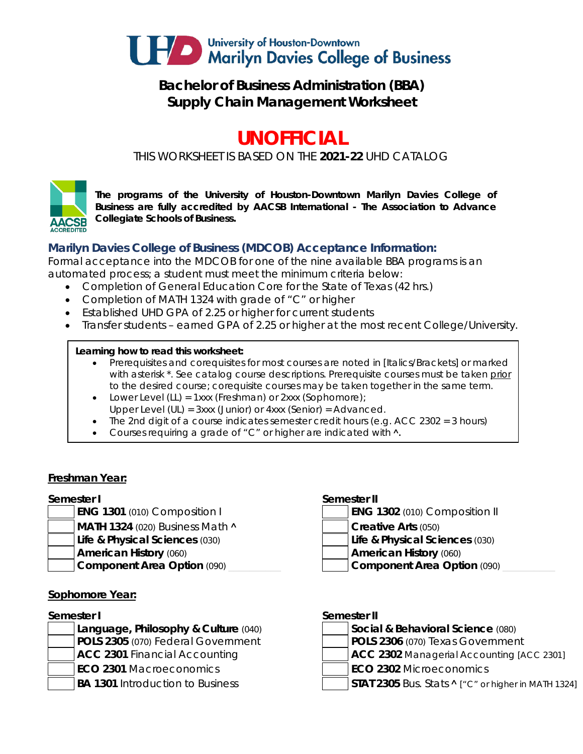

# **Bachelor of Business Administration (BBA) Supply Chain Management Worksheet**

# **UNOFFICIAL**

*THIS WORKSHEET IS BASED ON THE 2021-22 UHD CATALOG*



*The programs of the University of Houston-Downtown Marilyn Davies College of Business are fully accredited by AACSB International - The Association to Advance Collegiate Schools of Business.*

# **Marilyn Davies College of Business (MDCOB) Acceptance Information:**

Formal acceptance into the MDCOB for one of the nine available BBA programs is an automated process; a student must meet the minimum criteria below:

- Completion of General Education Core for the State of Texas (42 hrs.)
- Completion of MATH 1324 with grade of "C" or higher
- Established UHD GPA of 2.25 or higher for current students
- Transfer students earned GPA of 2.25 or higher at the most recent College/University.

#### **Learning how to read this worksheet:**

- Prerequisites and corequisites for most courses are noted in *[Italics/Brackets]* or marked with asterisk \*. See catalog course descriptions. Prerequisite courses must be taken prior to the desired course; corequisite courses may be taken together in the same term.
- Lower Level (LL) = 1xxx (Freshman) or 2xxx (Sophomore);
- Upper Level (UL) = 3xxx (Junior) or 4xxx (Senior) = Advanced.
- The 2nd digit of a course indicates semester credit hours (e.g. ACC  $2302 = 3$  hours)
- Courses requiring a grade of "C" or higher are indicated with  $\lambda$ .

#### **Freshman Year:**

- **ENG 1301** (010) Composition I
- **MATH 1324** (020) Business Math **A Creative Arts** (050)
- **Life & Physical Sciences** (030) **Life & Physical Sciences** (030)
- -

#### **Sophomore Year:**

#### **Semester I**

- **ACC 2301** Financial Accounting **ACC 2302** Managerial Accounting *[ACC 2301]* **ECO 2301** Macroeconomics **ECO 2302** Microeconomics
- 

#### **Semester I Semester II**

| <b>ENG 1302</b> (010) Composition II |
|--------------------------------------|
|--------------------------------------|

- 
- **American History** (060) **American History** (060)
- **Component Area Option** (090) **and Component Area Option** (090)

| Semester II |  |
|-------------|--|
|             |  |

- **Language, Philosophy & Culture** (040) **Social & Behavioral Science** (080) **POLS 2305** (070) Federal Government **POLS 2306** (070) Texas Government
	-
	-
- BA 1301 Introduction to Business **STAT 2305** Bus. Stats **^** ["C" or higher in MATH 1324]